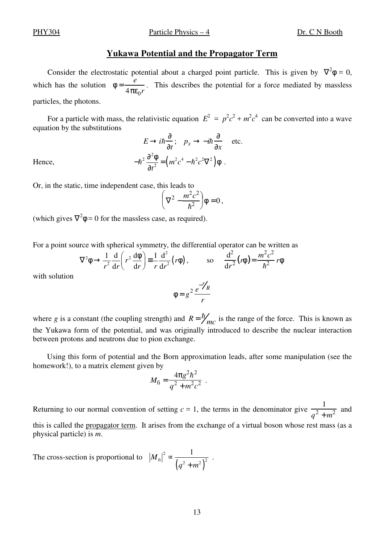PHY304 Particle Physics – 4 Dr. C N Booth

## **Yukawa Potential and the Propagator Term**

Consider the electrostatic potential about a charged point particle. This is given by  $\nabla^2 \phi = 0$ , which has the solution  $\phi = \frac{e}{4}$  $4πε<sub>0</sub>r$ . This describes the potential for a force mediated by massless particles, the photons.

For a particle with mass, the relativistic equation  $E^2 = p^2c^2 + m^2c^4$  can be converted into a wave equation by the substitutions

$$
E \to i\hbar \frac{\partial}{\partial t}; \quad p_x \to -i\hbar \frac{\partial}{\partial x} \quad \text{etc.}
$$
  
Hence,  

$$
-\hbar^2 \frac{\partial^2 \phi}{\partial t^2} = (m^2 c^4 - \hbar^2 c^2 \nabla^2) \phi.
$$

Or, in the static, time independent case, this leads to

$$
\left(\nabla^2 - \frac{m^2 c^2}{\hbar^2}\right)\phi = 0,
$$

(which gives  $\nabla^2 \phi = 0$  for the massless case, as required).

For a point source with spherical symmetry, the differential operator can be written as

$$
\nabla^2 \phi \rightarrow \frac{1}{r^2} \frac{d}{dr} \left( r^2 \frac{d\phi}{dr} \right) \equiv \frac{1}{r} \frac{d^2}{dr^2} (r \phi), \qquad \text{so} \quad \frac{d^2}{dr^2} (r \phi) = \frac{m^2 c^2}{\hbar^2} r \phi
$$

with solution

$$
\phi = g^2 \frac{e^{-r/p}}{r}
$$

where *g* is a constant (the coupling strength) and  $R = \frac{\hbar}{mc}$  is the range of the force. This is known as the Yukawa form of the potential, and was originally introduced to describe the nuclear interaction between protons and neutrons due to pion exchange.

Using this form of potential and the Born approximation leads, after some manipulation (see the homework!), to a matrix element given by

$$
M_{\rm fi} = \frac{4\pi g^2 h^2}{q^2 + m^2 c^2} \ .
$$

Returning to our normal convention of setting  $c = 1$ , the terms in the denominator give  $\frac{1}{2}$  $\frac{1}{q^2 + m^2}$  and

this is called the propagator term. It arises from the exchange of a virtual boson whose rest mass (as a physical particle) is *m*.

The cross-section is proportional to  $(q^2 + m^2)^2$ 2  $\int_a^{\text{fi}} \frac{1}{2} \left( a^2 + m^2 \right)^2$  $M_{\rm fi}$ |<sup>2</sup>  $\propto \frac{1}{\sqrt{1-\frac{1}{\mu}}}$  $q^2 + m$ ∝ + .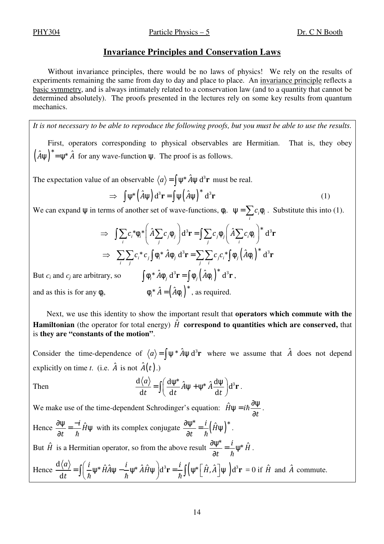PHY304 Particle Physics – 5 Dr. C N Booth

## **Invariance Principles and Conservation Laws**

Without invariance principles, there would be no laws of physics! We rely on the results of experiments remaining the same from day to day and place to place. An invariance principle reflects a basic symmetry, and is always intimately related to a conservation law (and to a quantity that cannot be determined absolutely). The proofs presented in the lectures rely on some key results from quantum mechanics.

*It is not necessary to be able to reproduce the following proofs, but you must be able to use the results.* 

First, operators corresponding to physical observables are Hermitian. That is, they obey  $(\hat{A}\psi)^* = \psi^* \hat{A}$  for any wave-function  $\psi$ . The proof is as follows.

The expectation value of an observable  $\langle a \rangle = \int \psi^* \hat{A} \psi \, d^3 \mathbf{r}$  must be real.

$$
\Rightarrow \int \psi^* (\hat{A}\psi) d^3 \mathbf{r} = \int \psi (\hat{A}\psi)^* d^3 \mathbf{r}
$$
 (1)

*i*

We can expand  $\psi$  in terms of another set of wave-functions,  $\phi_i$ .  $\psi = \sum c_i \phi_i$  $\Psi = \sum c_i \phi_i$ . Substitute this into (1).

$$
\Rightarrow \int \sum_{i} c_{i}^{*} \phi_{i}^{*} \left( \hat{A} \sum_{j} c_{j} \phi_{j} \right) d^{3} \mathbf{r} = \int \sum_{j} c_{j} \phi_{j} \left( \hat{A} \sum_{i} c_{i} \phi_{i} \right)^{*} d^{3} \mathbf{r}
$$

$$
\Rightarrow \sum_{i} \sum_{j} c_{i}^{*} c_{j} \int \phi_{i}^{*} \hat{A} \phi_{j} d^{3} \mathbf{r} = \sum_{j} \sum_{i} c_{j} c_{i}^{*} \int \phi_{j} \left( \hat{A} \phi_{i} \right)^{*} d^{3} \mathbf{r}
$$

But *c<sub>i</sub>* and *c<sub>j</sub>* are arbitrary, so  $\int \phi_i^* \hat{A} \phi_j d^3 \mathbf{r} = \int \phi_j (\hat{A} \phi_i)^* d^3 \mathbf{r}$ , and as this is for any  $\phi_i$ ,  $\phi_i^* \hat{A} = (\hat{A} \phi_i)^*$ , as required.

Next, we use this identity to show the important result that **operators which commute with the Hamiltonian** (the operator for total energy)  $\hat{H}$  **correspond to quantities which are conserved,** that is **they are "constants of the motion"**.

Consider the time-dependence of  $\langle a \rangle = \int \psi^* \hat{A} \psi \, d^3r$  where we assume that  $\hat{A}$  does not depend explicitly on time *t*. (i.e.  $\hat{A}$  is not  $\hat{A}(t)$ .)

Then 
$$
\frac{d\langle a\rangle}{dt} = \iint \left(\frac{d\psi^*}{dt}\hat{A}\psi + \psi^*\hat{A}\frac{d\psi}{dt}\right)d^3r.
$$

We make use of the time-dependent Schrodinger's equation:  $\hat{H}\psi = i\hbar$ *t*  $\psi = i\hbar \frac{\partial \psi}{\partial x}$ ∂  $\hbar \frac{\sigma \Psi}{2}$ . Hence  $\frac{\partial \Psi}{\partial x} = -\frac{i}{h} \hat{H}$  $\frac{\partial \Psi}{\partial t} = \frac{-i}{\hbar} \hat{H} \Psi$  with its complex conjugate  $\frac{\partial \Psi^*}{\partial t} = \frac{i}{\hbar} (\hat{H} \Psi)^2$  $\mu^* = \frac{i}{i} (\hat{H} \psi)^*$  $\frac{\partial \psi^*}{\partial t} = \frac{i}{\hbar} \left( \hat{H} \psi \right)^*.$ 

*t t* But  $\hat{H}$  is a Hermitian operator, so from the above result  $\frac{\partial \psi^*}{\partial t} = \frac{i}{\hbar} \psi^* \hat{H}$ *t*  $\frac{\partial \psi^*}{\partial t} = \frac{i}{\hbar} \psi^* \hat{H}$ .

Hence 
$$
\frac{d\langle a \rangle}{dt} = \int \left( \frac{i}{\hbar} \psi^* \hat{H} \hat{A} \psi - \frac{i}{\hbar} \psi^* \hat{A} \hat{H} \psi \right) d^3 \mathbf{r} = \frac{i}{\hbar} \int \left( \psi^* \left[ \hat{H}, \hat{A} \right] \psi \right) d^3 \mathbf{r} = 0 \text{ if } \hat{H} \text{ and } \hat{A} \text{ commute.}
$$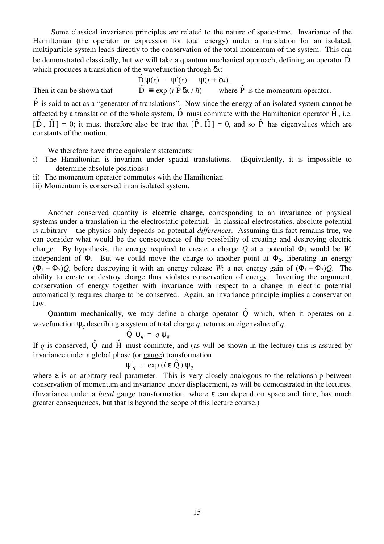Some classical invariance principles are related to the nature of space-time. Invariance of the Hamiltonian (the operator or expression for total energy) under a translation for an isolated, multiparticle system leads directly to the conservation of the total momentum of the system. This can be demonstrated classically, but we will take a quantum mechanical approach, defining an operator  $\hat{D}$ which produces a translation of the wavefunction through δ*x*:

$$
\hat{D}\psi(x) = \psi'(x) = \psi(x + \delta x).
$$
\nthat

\n
$$
\hat{D} \equiv \exp(i\hat{P}\delta x/\hbar) \quad \text{where } \hat{P} \text{ is the momentum operator.}
$$

Then it can be shown the

 $\hat{P}$  is said to act as a "generator of translations". Now since the energy of an isolated system cannot be affected by a translation of the whole system,  $\hat{D}$  must commute with the Hamiltonian operator  $\hat{H}$ , i.e.  $[\hat{D}, \hat{H}] = 0$ ; it must therefore also be true that  $[\hat{P}, \hat{H}] = 0$ , and so  $\hat{P}$  has eigenvalues which are constants of the motion.

We therefore have three equivalent statements:

- i) The Hamiltonian is invariant under spatial translations. (Equivalently, it is impossible to determine absolute positions.)
- ii) The momentum operator commutes with the Hamiltonian.
- iii) Momentum is conserved in an isolated system.

Another conserved quantity is **electric charge**, corresponding to an invariance of physical systems under a translation in the electrostatic potential. In classical electrostatics, absolute potential is arbitrary – the physics only depends on potential *differences*. Assuming this fact remains true, we can consider what would be the consequences of the possibility of creating and destroying electric charge. By hypothesis, the energy required to create a charge  $Q$  at a potential  $\Phi_1$  would be *W*, independent of  $\Phi$ . But we could move the charge to another point at  $\Phi_2$ , liberating an energy  $(\Phi_1 - \Phi_2)Q$ , before destroying it with an energy release *W*: a net energy gain of  $(\Phi_1 - \Phi_2)Q$ . The ability to create or destroy charge thus violates conservation of energy. Inverting the argument, conservation of energy together with invariance with respect to a change in electric potential automatically requires charge to be conserved. Again, an invariance principle implies a conservation law.

Quantum mechanically, we may define a charge operator  $\hat{Q}$  which, when it operates on a wavefunction ψ*q* describing a system of total charge *q*, returns an eigenvalue of *q*.

$$
\hat{Q} \psi_q = q \psi_q
$$

If *q* is conserved,  $\hat{Q}$  and  $\hat{H}$  must commute, and (as will be shown in the lecture) this is assured by invariance under a global phase (or gauge) transformation

$$
\Psi'_{q} = \exp(i \epsilon \hat{Q}) \Psi_{q}
$$

where  $\varepsilon$  is an arbitrary real parameter. This is very closely analogous to the relationship between conservation of momentum and invariance under displacement, as will be demonstrated in the lectures. (Invariance under a *local* gauge transformation, where ε can depend on space and time, has much greater consequences, but that is beyond the scope of this lecture course.)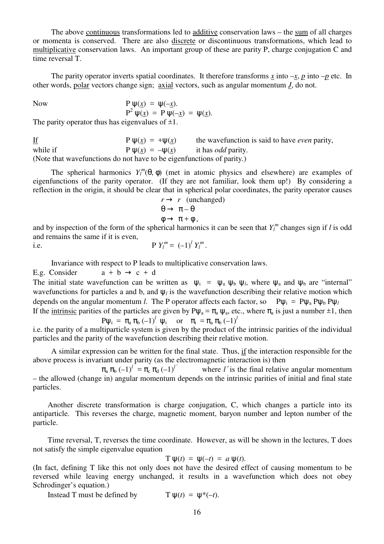The above continuous transformations led to additive conservation laws – the sum of all charges or momenta is conserved. There are also discrete or discontinuous transformations, which lead to multiplicative conservation laws. An important group of these are parity P, charge conjugation C and time reversal T.

The parity operator inverts spatial coordinates. It therefore transforms *x* into  $-x$ , *p* into  $-p$  etc. In other words, polar vectors change sign; axial vectors, such as angular momentum *J*, do not.

Now  
\n
$$
P \psi(\underline{x}) = \psi(-\underline{x}).
$$
\n
$$
P^2 \psi(\underline{x}) = P \psi(-\underline{x}) = \psi(\underline{x}).
$$
\nThe parity operator thus has eigenvalues of +1

The parity operator thus has eigenvalues of  $\pm 1$ .

If  $P \psi(x) = +\psi(x)$  the wavefunction is said to have *even* parity, while if  $P \psi(x) = -\psi(x)$  it has *odd* parity. (Note that wavefunctions do not have to be eigenfunctions of parity.)

The spherical harmonics  $Y_l^m(\theta, \phi)$  (met in atomic physics and elsewhere) are examples of eigenfunctions of the parity operator. (If they are not familiar, look them up!) By considering a reflection in the origin, it should be clear that in spherical polar coordinates, the parity operator causes

$$
r \to r \text{ (unchanged)}
$$
  
\n
$$
\theta \to \pi - \theta
$$
  
\n
$$
\phi \to \pi + \phi
$$
,

and by inspection of the form of the spherical harmonics it can be seen that  $Y_l^m$  changes sign if *l* is odd and remains the same if it is even,

i.e. 
$$
P Y_l^m = (-1)^l Y_l^m
$$
.

Invariance with respect to P leads to multiplicative conservation laws.

E.g. Consider  $a + b \rightarrow c + d$ 

The initial state wavefunction can be written as  $\psi_i = \psi_a \psi_b \psi_l$ , where  $\psi_a$  and  $\psi_b$  are "internal" wavefunctions for particles a and b, and  $\psi_l$  is the wavefunction describing their relative motion which depends on the angular momentum *l*. The P operator affects each factor, so  $P\psi_i = P\psi_a P\psi_b P\psi_l$ If the intrinsic parities of the particles are given by P $\mu = \pi$ ,  $\mu$ , etc., where  $\pi$ , is just a number  $\pm 1$ , then

In the mininsic particles of the particles are given by 
$$
\mathbf{F}\psi_a - \mathbf{r}_a \psi_a
$$
, etc., where  $\mathbf{r}_a$  is just a number  $\pm 1$ , then  
\n
$$
P\psi_i = \pi_a \pi_b (-1)^l \psi_i \quad \text{or} \quad \pi_i = \pi_a \pi_b (-1)^l
$$

i.e. the parity of a multiparticle system is given by the product of the intrinsic parities of the individual particles and the parity of the wavefunction describing their relative motion.

A similar expression can be written for the final state. Thus, if the interaction responsible for the above process is invariant under parity (as the electromagnetic interaction is) then

 $\pi_{\rm a} \pi_{\rm b} (-1)^l = \pi_{\rm c} \pi_{\rm d} (-1)^{l'}$ *where l'is the final relative angular momentum* – the allowed (change in) angular momentum depends on the intrinsic parities of initial and final state particles.

Another discrete transformation is charge conjugation, C, which changes a particle into its antiparticle. This reverses the charge, magnetic moment, baryon number and lepton number of the particle.

Time reversal, T, reverses the time coordinate. However, as will be shown in the lectures, T does not satisfy the simple eigenvalue equation

$$
T \psi(t) = \psi(-t) = a \psi(t).
$$

(In fact, defining T like this not only does not have the desired effect of causing momentum to be reversed while leaving energy unchanged, it results in a wavefunction which does not obey Schrodinger's equation.)

Instead T must be defined by  $T \psi(t) = \psi^*(-t)$ .